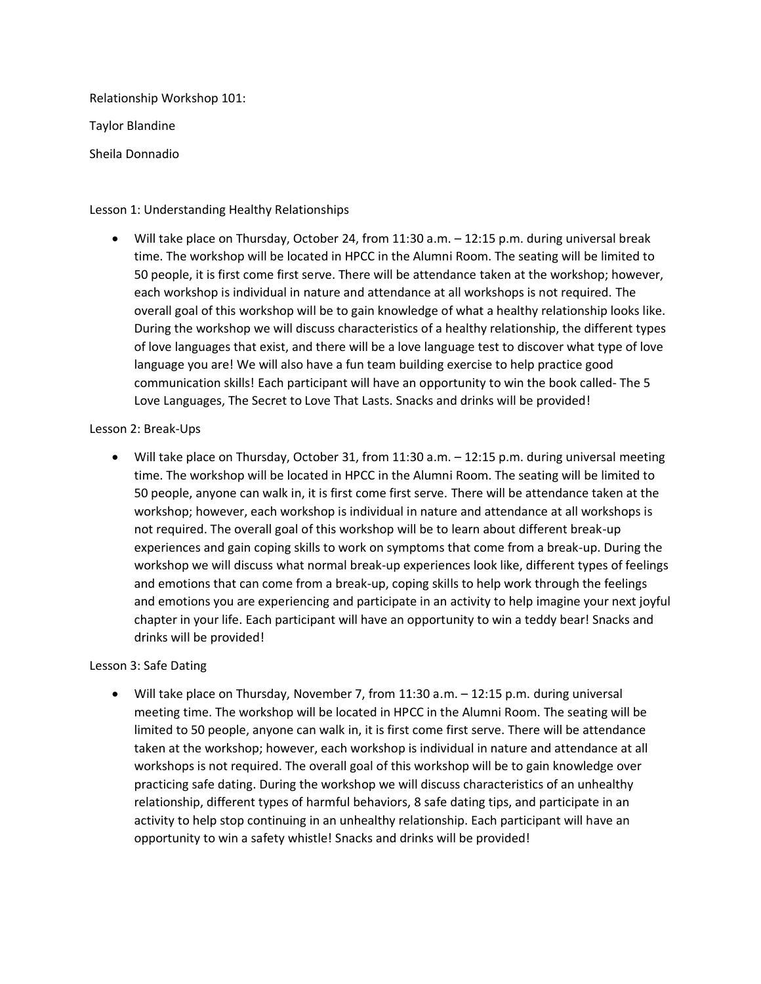Relationship Workshop 101: Taylor Blandine

Sheila Donnadio

## Lesson 1: Understanding Healthy Relationships

• Will take place on Thursday, October 24, from 11:30 a.m. – 12:15 p.m. during universal break time. The workshop will be located in HPCC in the Alumni Room. The seating will be limited to 50 people, it is first come first serve. There will be attendance taken at the workshop; however, each workshop is individual in nature and attendance at all workshops is not required. The overall goal of this workshop will be to gain knowledge of what a healthy relationship looks like. During the workshop we will discuss characteristics of a healthy relationship, the different types of love languages that exist, and there will be a love language test to discover what type of love language you are! We will also have a fun team building exercise to help practice good communication skills! Each participant will have an opportunity to win the book called- The 5 Love Languages, The Secret to Love That Lasts. Snacks and drinks will be provided!

## Lesson 2: Break-Ups

• Will take place on Thursday, October 31, from 11:30 a.m. – 12:15 p.m. during universal meeting time. The workshop will be located in HPCC in the Alumni Room. The seating will be limited to 50 people, anyone can walk in, it is first come first serve. There will be attendance taken at the workshop; however, each workshop is individual in nature and attendance at all workshops is not required. The overall goal of this workshop will be to learn about different break-up experiences and gain coping skills to work on symptoms that come from a break-up. During the workshop we will discuss what normal break-up experiences look like, different types of feelings and emotions that can come from a break-up, coping skills to help work through the feelings and emotions you are experiencing and participate in an activity to help imagine your next joyful chapter in your life. Each participant will have an opportunity to win a teddy bear! Snacks and drinks will be provided!

## Lesson 3: Safe Dating

• Will take place on Thursday, November 7, from 11:30 a.m. – 12:15 p.m. during universal meeting time. The workshop will be located in HPCC in the Alumni Room. The seating will be limited to 50 people, anyone can walk in, it is first come first serve. There will be attendance taken at the workshop; however, each workshop is individual in nature and attendance at all workshops is not required. The overall goal of this workshop will be to gain knowledge over practicing safe dating. During the workshop we will discuss characteristics of an unhealthy relationship, different types of harmful behaviors, 8 safe dating tips, and participate in an activity to help stop continuing in an unhealthy relationship. Each participant will have an opportunity to win a safety whistle! Snacks and drinks will be provided!